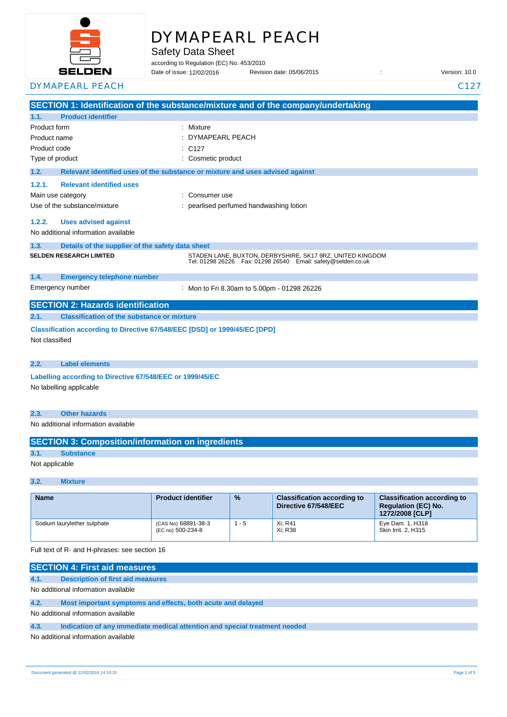

# DYMAPEARL PEACH

Safety Data Sheet

according to Regulation (EC) No. 453/2010

Date of issue: Revision date: 05/06/2015 : Version: 10.0 12/02/2016 DYMAPEARL PEACH C127

**SECTION 1: Identification of the substance/mixture and of the company/undertaking 1.1. Product identifier** Product form : Nixture : Mixture Product name : Product code : Type of product in the cosmetic product in the cosmetic product **1.2. Relevant identified uses of the substance or mixture and uses advised against 1.2.1. Relevant identified uses**  Main use category **Main use category by Consumer use Consumer use** Use of the substance/mixture in the substance of the substance of the substance of the substance of the substance of the substance of the substance/mixture in the substance of the substance of the substance of the substanc **1.2.2. Uses advised against** No additional information available **1.3. Details of the supplier of the safety data sheet 1.4. Emergency telephone number** Emergency number : **SECTION 2: Hazards identification 2.1. Classification of the substance or mixture** DYMAPEARL PEACH  $C127$ **SELDEN RESEARCH LIMITED** STADEN LANE, BUXTON, DERBYSHIRE, SK17 9RZ, UNITED KINGDOM Tel: 01298 26226 Fax: 01298 26540 Email: safety@selden.co.uk Mon to Fri 8.30am to 5.00pm - 01298 26226

**Classification according to Directive 67/548/EEC [DSD] or 1999/45/EC [DPD]**

Not classified

**2.2. Label elements**

**Labelling according to Directive 67/548/EEC or 1999/45/EC** No labelling applicable

#### **2.3. Other hazards**

No additional information available

| <b>SECTION 3: Composition/information on ingredients</b> |                  |  |
|----------------------------------------------------------|------------------|--|
| 3.1.                                                     | <b>Substance</b> |  |
| Not applicable                                           |                  |  |

#### **3.2. Mixture**

| <b>Name</b>                 | <b>Product identifier</b>                | $\frac{9}{6}$ | <b>Classification according to</b><br>Directive 67/548/EEC | <b>Classification according to</b><br><b>Requlation (EC) No.</b><br>1272/2008 [CLP] |
|-----------------------------|------------------------------------------|---------------|------------------------------------------------------------|-------------------------------------------------------------------------------------|
| Sodium laurylether sulphate | (CAS No) 68891-38-3<br>(EC no) 500-234-8 | - 5           | Xi: R41<br>Xi: R38                                         | Eye Dam. 1, H318<br>Skin Irrit. 2, H315                                             |

Full text of R- and H-phrases: see section 16

|                                     | <b>SECTION 4: First aid measures</b>                                       |  |
|-------------------------------------|----------------------------------------------------------------------------|--|
| 4.1.                                | Description of first aid measures                                          |  |
|                                     | No additional information available                                        |  |
| 4.2.                                | Most important symptoms and effects, both acute and delayed                |  |
| No additional information available |                                                                            |  |
| 4.3.                                | Indication of any immediate medical attention and special treatment needed |  |
|                                     | No additional information available                                        |  |

Document generated @ 12/02/2016 14:10:31 Page 1 of 5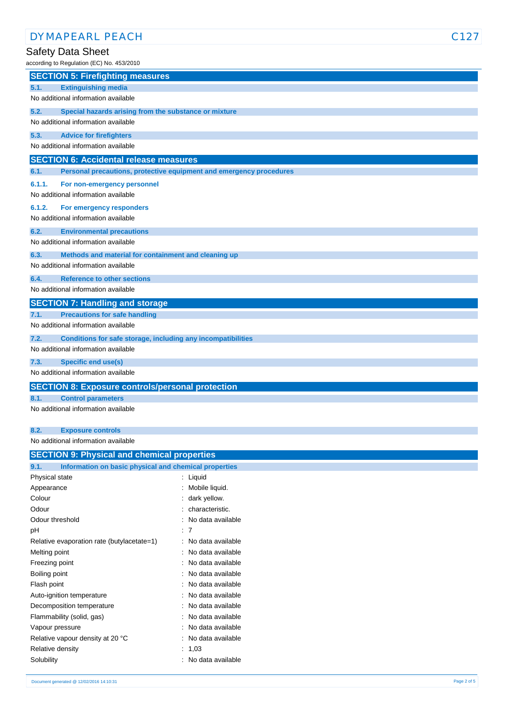# Safety Data Sheet

according to Regulation (EC) No. 453/2010

| according to Regulation (EC) No. 453/2010                                   |  |  |  |
|-----------------------------------------------------------------------------|--|--|--|
| <b>SECTION 5: Firefighting measures</b>                                     |  |  |  |
| 5.1.<br><b>Extinguishing media</b>                                          |  |  |  |
| No additional information available                                         |  |  |  |
| 5.2.<br>Special hazards arising from the substance or mixture               |  |  |  |
| No additional information available                                         |  |  |  |
| 5.3.<br><b>Advice for firefighters</b>                                      |  |  |  |
| No additional information available                                         |  |  |  |
| <b>SECTION 6: Accidental release measures</b>                               |  |  |  |
| Personal precautions, protective equipment and emergency procedures<br>6.1. |  |  |  |
| 6.1.1.<br>For non-emergency personnel                                       |  |  |  |
| No additional information available                                         |  |  |  |
| 6.1.2.<br>For emergency responders                                          |  |  |  |
| No additional information available                                         |  |  |  |
| 6.2.<br><b>Environmental precautions</b>                                    |  |  |  |
| No additional information available                                         |  |  |  |
| 6.3.<br>Methods and material for containment and cleaning up                |  |  |  |
| No additional information available                                         |  |  |  |
| <b>Reference to other sections</b><br>6.4.                                  |  |  |  |
| No additional information available                                         |  |  |  |
| <b>SECTION 7: Handling and storage</b>                                      |  |  |  |
| <b>Precautions for safe handling</b><br>7.1.                                |  |  |  |
| No additional information available                                         |  |  |  |
| 7.2.<br>Conditions for safe storage, including any incompatibilities        |  |  |  |
| No additional information available                                         |  |  |  |
| 7.3.<br><b>Specific end use(s)</b>                                          |  |  |  |
| No additional information available                                         |  |  |  |
| <b>SECTION 8: Exposure controls/personal protection</b>                     |  |  |  |
| 8.1.<br><b>Control parameters</b>                                           |  |  |  |
| No additional information available                                         |  |  |  |
|                                                                             |  |  |  |
| 8.2.<br><b>Exposure controls</b>                                            |  |  |  |
| No additional information available                                         |  |  |  |

| <b>SECTION 9: Physical and chemical properties</b>    |  |  |  |
|-------------------------------------------------------|--|--|--|
| Information on basic physical and chemical properties |  |  |  |
| : Liquid                                              |  |  |  |
| : Mobile liquid.                                      |  |  |  |
| : dark yellow.                                        |  |  |  |
| characteristic.                                       |  |  |  |
| : No data available                                   |  |  |  |
| : 7                                                   |  |  |  |
| : No data available                                   |  |  |  |
| : No data available                                   |  |  |  |
| : No data available                                   |  |  |  |
| : No data available                                   |  |  |  |
| No data available                                     |  |  |  |
| : No data available                                   |  |  |  |
| : No data available                                   |  |  |  |
| : No data available                                   |  |  |  |
| No data available                                     |  |  |  |
| No data available                                     |  |  |  |
| : $1,03$                                              |  |  |  |
| No data available                                     |  |  |  |
|                                                       |  |  |  |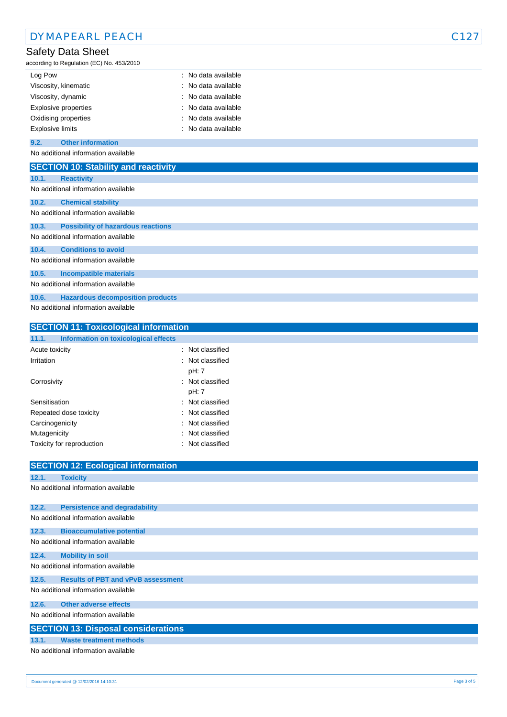| <b>DYMAPEARL PEACH</b>                                         |                   | C127 |
|----------------------------------------------------------------|-------------------|------|
| Safety Data Sheet<br>according to Regulation (EC) No. 453/2010 |                   |      |
| Log Pow                                                        | No data available |      |
| Viscosity, kinematic                                           | No data available |      |
| Viscosity, dynamic                                             | No data available |      |
| Explosive properties                                           | No data available |      |
| Oxidising properties                                           | No data available |      |
| <b>Explosive limits</b>                                        | No data available |      |
| <b>Other information</b><br>9.2.                               |                   |      |
| No additional information available                            |                   |      |
| <b>SECTION 10: Stability and reactivity</b>                    |                   |      |
| 10.1.<br><b>Reactivity</b>                                     |                   |      |
| No additional information available                            |                   |      |
| 10.2.<br><b>Chemical stability</b>                             |                   |      |
| No additional information available                            |                   |      |
| 10.3.<br><b>Possibility of hazardous reactions</b>             |                   |      |
| No additional information available                            |                   |      |
| <b>Conditions to avoid</b><br>10.4.                            |                   |      |
| No additional information available                            |                   |      |
| 10.5.<br><b>Incompatible materials</b>                         |                   |      |
| No additional information available                            |                   |      |
| <b>Hazardous decomposition products</b><br>10.6.               |                   |      |
| No additional information available                            |                   |      |
|                                                                |                   |      |
| <b>SECTION 11: Toxicological information</b>                   |                   |      |

| 11.1.           | Information on toxicological effects |  |                             |
|-----------------|--------------------------------------|--|-----------------------------|
| Acute toxicity  |                                      |  | : Not classified            |
| Irritation      |                                      |  | : Not classified<br>pH: 7   |
| Corrosivity     |                                      |  | : Not classified<br>pH: 7   |
| Sensitisation   |                                      |  | : Not classified            |
|                 | Repeated dose toxicity               |  | : Not classified            |
| Carcinogenicity |                                      |  | : Not classified            |
| Mutagenicity    |                                      |  | $\therefore$ Not classified |
|                 | Toxicity for reproduction            |  | : Not classified            |

|       | <b>SECTION 12: Ecological information</b>  |
|-------|--------------------------------------------|
| 12.1. | <b>Toxicity</b>                            |
|       | No additional information available        |
|       |                                            |
| 12.2. | <b>Persistence and degradability</b>       |
|       | No additional information available        |
| 12.3. | <b>Bioaccumulative potential</b>           |
|       | No additional information available        |
| 12.4. | <b>Mobility in soil</b>                    |
|       | No additional information available        |
| 12.5. | <b>Results of PBT and vPvB assessment</b>  |
|       | No additional information available        |
| 12.6. | Other adverse effects                      |
|       | No additional information available        |
|       | <b>SECTION 13: Disposal considerations</b> |
| 13.1. | <b>Waste treatment methods</b>             |
|       | No additional information available        |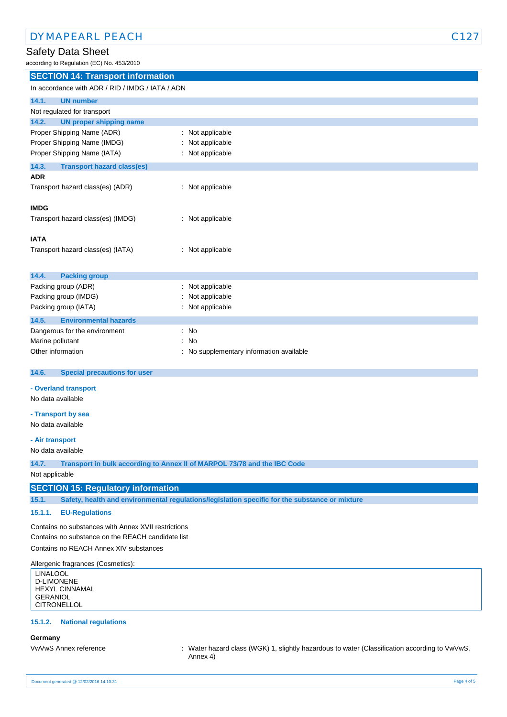# Safety Data Sheet

according to Regulation (EC) No. 453/2010

| <b>SECTION 14: Transport information</b>         |                                        |  |
|--------------------------------------------------|----------------------------------------|--|
| In accordance with ADR / RID / IMDG / IATA / ADN |                                        |  |
| 14.1.<br><b>UN number</b>                        |                                        |  |
| Not regulated for transport                      |                                        |  |
| 14.2.<br><b>UN proper shipping name</b>          |                                        |  |
| Proper Shipping Name (ADR)                       | Not applicable                         |  |
| Proper Shipping Name (IMDG)                      | Not applicable                         |  |
| Proper Shipping Name (IATA)                      | Not applicable                         |  |
| 14.3.<br><b>Transport hazard class(es)</b>       |                                        |  |
| <b>ADR</b>                                       |                                        |  |
| Transport hazard class(es) (ADR)                 | : Not applicable                       |  |
| <b>IMDG</b>                                      |                                        |  |
| Transport hazard class(es) (IMDG)                | Not applicable<br>÷.                   |  |
| <b>IATA</b>                                      |                                        |  |
| Transport hazard class(es) (IATA)                | : Not applicable                       |  |
| <b>Packing group</b><br>14.4.                    |                                        |  |
| Packing group (ADR)                              | Not applicable                         |  |
| Packing group (IMDG)                             | Not applicable                         |  |
| Packing group (IATA)                             | Not applicable                         |  |
| 14.5.<br><b>Environmental hazards</b>            |                                        |  |
| Dangerous for the environment                    | No                                     |  |
| Marine pollutant                                 | No                                     |  |
| Other information                                | No supplementary information available |  |
| 14.6.<br><b>Special precautions for user</b>     |                                        |  |
| - Overland transport                             |                                        |  |
| No data available                                |                                        |  |
| - Transport by sea                               |                                        |  |
| No data available                                |                                        |  |
| - Air transport                                  |                                        |  |

No data available

**14.7. Transport in bulk according to Annex II of MARPOL 73/78 and the IBC Code**

Not applicable

# **SECTION 15: Regulatory information**

**15.1. Safety, health and environmental regulations/legislation specific for the substance or mixture**

#### **15.1.1. EU-Regulations**

Contains no substances with Annex XVII restrictions Contains no substance on the REACH candidate list Contains no REACH Annex XIV substances

Allergenic fragrances (Cosmetics):

LINALOOL D-LIMONENE HEXYL CINNAMAL GERANIOL **CITRONELLOL** 

### **15.1.2. National regulations**

#### **Germany**

VwVwS Annex reference : Water hazard class (WGK) 1, slightly hazardous to water (Classification according to VwVwS, Annex 4)